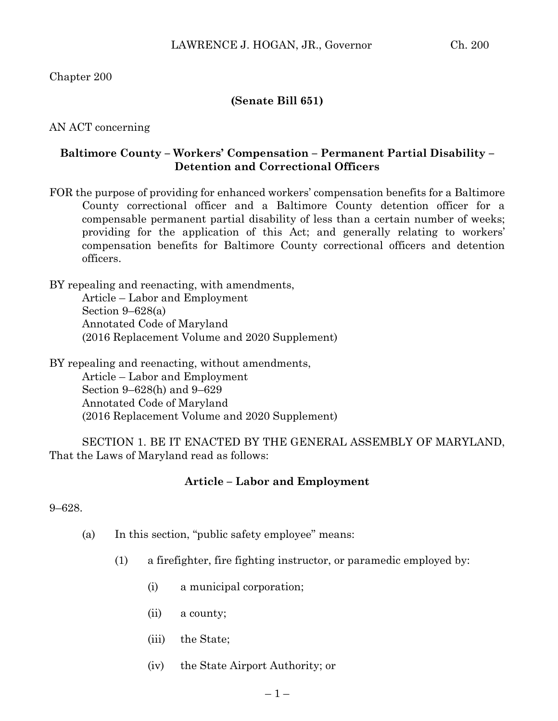Chapter 200

# **(Senate Bill 651)**

AN ACT concerning

# **Baltimore County – Workers' Compensation – Permanent Partial Disability – Detention and Correctional Officers**

FOR the purpose of providing for enhanced workers' compensation benefits for a Baltimore County correctional officer and a Baltimore County detention officer for a compensable permanent partial disability of less than a certain number of weeks; providing for the application of this Act; and generally relating to workers' compensation benefits for Baltimore County correctional officers and detention officers.

BY repealing and reenacting, with amendments, Article – Labor and Employment Section 9–628(a) Annotated Code of Maryland (2016 Replacement Volume and 2020 Supplement)

BY repealing and reenacting, without amendments, Article – Labor and Employment Section 9–628(h) and 9–629 Annotated Code of Maryland (2016 Replacement Volume and 2020 Supplement)

SECTION 1. BE IT ENACTED BY THE GENERAL ASSEMBLY OF MARYLAND, That the Laws of Maryland read as follows:

### **Article – Labor and Employment**

9–628.

- (a) In this section, "public safety employee" means:
	- (1) a firefighter, fire fighting instructor, or paramedic employed by:
		- (i) a municipal corporation;
		- (ii) a county;
		- (iii) the State;
		- (iv) the State Airport Authority; or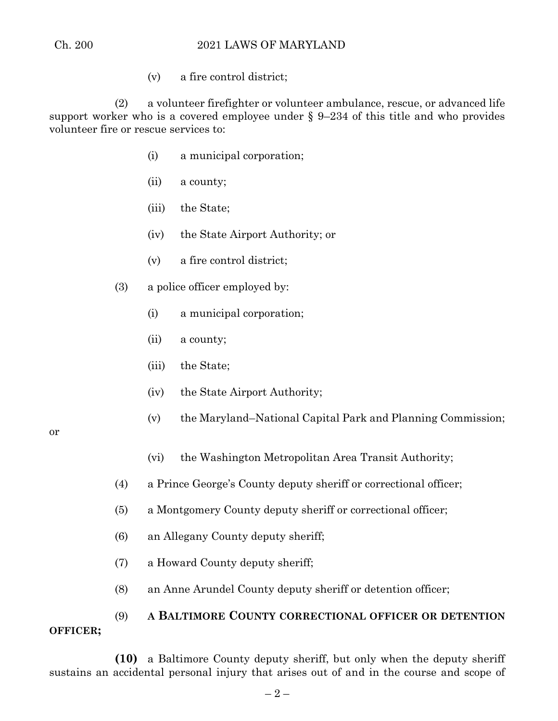(v) a fire control district;

(2) a volunteer firefighter or volunteer ambulance, rescue, or advanced life support worker who is a covered employee under § 9–234 of this title and who provides volunteer fire or rescue services to:

- (i) a municipal corporation;
- (ii) a county;
- (iii) the State;
- (iv) the State Airport Authority; or
- (v) a fire control district;
- (3) a police officer employed by:
	- (i) a municipal corporation;
	- (ii) a county;
	- (iii) the State;
	- (iv) the State Airport Authority;
	- (v) the Maryland–National Capital Park and Planning Commission;

or

- (vi) the Washington Metropolitan Area Transit Authority;
- (4) a Prince George's County deputy sheriff or correctional officer;
- (5) a Montgomery County deputy sheriff or correctional officer;
- (6) an Allegany County deputy sheriff;
- (7) a Howard County deputy sheriff;
- (8) an Anne Arundel County deputy sheriff or detention officer;

# (9) **A BALTIMORE COUNTY CORRECTIONAL OFFICER OR DETENTION OFFICER;**

**(10)** a Baltimore County deputy sheriff, but only when the deputy sheriff sustains an accidental personal injury that arises out of and in the course and scope of